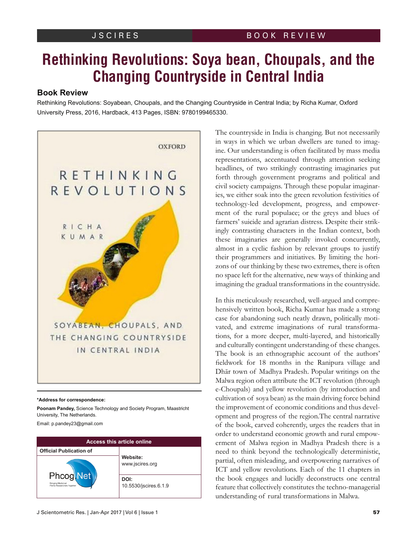# **Rethinking Revolutions: Soya bean, Choupals, and the Changing Countryside in Central India**

## **Book Review**

Rethinking Revolutions: Soyabean, Choupals, and the Changing Countryside in Central India; by Richa Kumar, Oxford University Press, 2016, Hardback, 413 Pages, ISBN: 9780199465330.



#### **\*Address for correspondence:**

**Poonam Pandey,** Science Technology and Society Program, Maastricht University, The Netherlands.

Email: p.pandey23@gmail.com

| <b>Access this article online</b>                                     |                               |
|-----------------------------------------------------------------------|-------------------------------|
| <b>Official Publication of</b>                                        |                               |
| <b>Phcog Net</b><br>Bringing Medicinal<br>Plants Researchers Together | Website:<br>www.jscires.org   |
|                                                                       | DOI:<br>10.5530/jscires.6.1.9 |

The countryside in India is changing. But not necessarily in ways in which we urban dwellers are tuned to imagine. Our understanding is often facilitated by mass media representations, accentuated through attention seeking headlines, of two strikingly contrasting imaginaries put forth through government programs and political and civil society campaigns. Through these popular imaginaries, we either soak into the green revolution festivities of technology-led development, progress, and empowerment of the rural populace; or the greys and blues of farmers' suicide and agrarian distress. Despite their strikingly contrasting characters in the Indian context, both these imaginaries are generally invoked concurrently, almost in a cyclic fashion by relevant groups to justify their programmers and initiatives. By limiting the horizons of our thinking by these two extremes, there is often no space left for the alternative, new ways of thinking and imagining the gradual transformations in the countryside.

In this meticulously researched, well-argued and comprehensively written book, Richa Kumar has made a strong case for abandoning such neatly drawn, politically motivated, and extreme imaginations of rural transformations, for a more deeper, multi-layered, and historically and culturally contingent understanding of these changes. The book is an ethnographic account of the authors' fieldwork for 18 months in the Ranipura village and Dhār town of Madhya Pradesh. Popular writings on the Malwa region often attribute the ICT revolution (through e-Choupals) and yellow revolution (by introduction and cultivation of soya bean) as the main driving force behind the improvement of economic conditions and thus development and progress of the region.The central narrative of the book, carved coherently, urges the readers that in order to understand economic growth and rural empowerment of Malwa region in Madhya Pradesh there is a need to think beyond the technologically deterministic, partial, often misleading, and overpowering narratives of ICT and yellow revolutions. Each of the 11 chapters in the book engages and lucidly deconstructs one central feature that collectively constitutes the techno-managerial understanding of rural transformations in Malwa.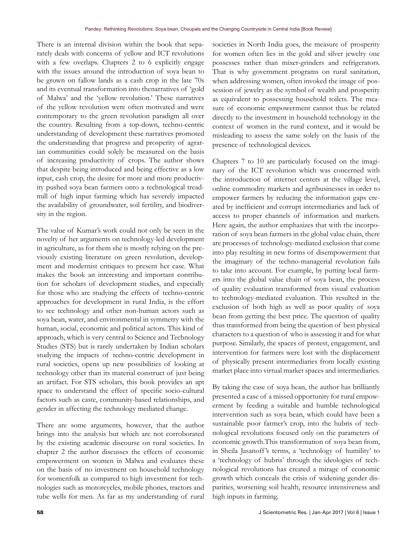There is an internal division within the book that separately deals with concerns of yellow and ICT revolutions with a few overlaps. Chapters 2 to 6 explicitly engage with the issues around the introduction of soya bean to be grown on fallow lands as a cash crop in the late 70s and its eventual transformation into thenarratives of 'gold of Malwa' and the 'yellow revolution.' These narratives of the yellow revolution were often motivated and were contemporary to the green revolution paradigm all over the country. Resulting from a top-down, techno-centric understanding of development these narratives promoted the understanding that progress and prosperity of agrarian communities could solely be measured on the basis of increasing productivity of crops. The author shows that despite being introduced and being effective as a low input, cash crop, the desire for more and more productivity pushed soya bean farmers onto a technological treadmill of high input farming which has severely impacted the availability of groundwater, soil fertility, and biodiversity in the region.

The value of Kumar's work could not only be seen in the novelty of her arguments on technology-led development in agriculture, as for them she is mostly relying on the previously existing literature on green revolution, development and modernist critiques to present her case. What makes the book an interesting and important contribution for scholars of development studies, and especially for those who are studying the effects of techno-centric approaches for development in rural India, is the effort to see technology and other non-human actors such as soya bean, water, and environmental in symmetry with the human, social, economic and political actors. This kind of approach, which is very central to Science and Technology Studies (STS) but is rarely undertaken by Indian scholars studying the impacts of techno-centric development in rural societies, opens up new possibilities of looking at technology other than its material construct of just being an artifact. For STS scholars, this book provides an apt space to understand the effect of specific socio-cultural factors such as caste, community-based relationships, and gender in affecting the technology mediated change.

There are some arguments, however, that the author brings into the analysis but which are not corroborated by the existing academic discourse on rural societies. In chapter 2 the author discusses the effects of economic empowerment on women in Malwa and evaluates these on the basis of no investment on household technology for womenfolk as compared to high investment for technologies such as motorcycles, mobile phones, tractors and tube wells for men. As far as my understanding of rural

societies in North India goes, the measure of prosperity for women often lies in the gold and silver jewelry one possesses rather than mixer-grinders and refrigerators. That is why government programs on rural sanitation, when addressing women, often invoked the image of possession of jewelry as the symbol of wealth and prosperity as equivalent to possessing household toilets. The measure of economic empowerment cannot thus be related directly to the investment in household technology in the context of women in the rural context, and it would be misleading to assess the same solely on the basis of the presence of technological devices.

Chapters 7 to 10 are particularly focused on the imaginary of the ICT revolution which was concerned with the introduction of internet centers at the village level, online commodity markets and agribusinesses in order to empower farmers by reducing the information gaps created by inefficient and corrupt intermediaries and lack of access to proper channels of information and markets. Here again, the author emphasizes that with the incorporation of soya bean farmers in the global value chain, there are processes of technology-mediated exclusion that come into play resulting in new forms of disempowerment that the imaginary of the techno-managerial revolution fails to take into account. For example, by putting local farmers into the global value chain of soya bean, the process of quality evaluation transformed from visual evaluation to technology-mediated evaluation. This resulted in the exclusion of both high as well as poor quality of soya bean from getting the best price. The question of quality thus transformed from being the question of best physical characters to a question of who is assessing it and for what purpose. Similarly, the spaces of protest, engagement, and intervention for farmers were lost with the displacement of physically present intermediaries from locally existing market place into virtual market spaces and intermediaries.

By taking the case of soya bean, the author has brilliantly presented a case of a missed opportunity for rural empowerment by feeding a suitable and humble technological intervention such as soya bean, which could have been a sustainable poor farmer's crop, into the hubris of technological revolutions focused only on the parameters of economic growth.This transformation of soya bean from, in Sheila Jasanoff 's terms, a 'technology of humility' to a 'technology of hubris' through the ideologies of technological revolutions has created a mirage of economic growth which conceals the crisis of widening gender disparities, worsening soil health, resource intensiveness and high inputs in farming.